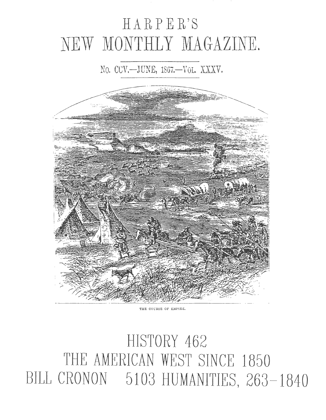# HARPER'S NEW MONTHLY MAGAZINE.

# No. CCV.--JUNE, 1867.-- VOL. XXXV.



THE COURSE OF EMPIRE.

HISTORY 462 THE AMERICAN WEST SINCE 1850 BILL CRONON 5103 HUMANITIES, 263-1840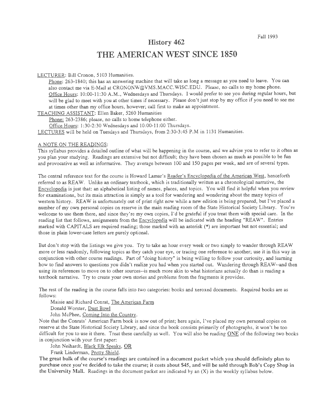# History 462 THE AMERICAN WEST SINCE 1850

#### LECTURER: Bill Cronon, 5103 Humanities.

Phone: 263-1840; this has an answering machine that will take as long a message as you need to leave. You can also contact me via E-Mail at CRONONW@VMS.MACC.WISC.EDU. Please, no calls to my home phone. Office Hours: 10:00-11:30 A.M., Wednesdays and Thursdays. I would prefer to see you during regular hours, but will be glad to meet with you at other times if necessary. Please don't just stop by my office if you need to see me at times other than my office hours, however; call first to make an appointment.

TEACHING ASSISTANT: Ellen Baker, 5260 Humanities

Phone: 263-2386; please, no calls to home telephone either.

Office Hours: 1:30-2:30 Wednesdays and 10:00-11:00 Thursdays.

LECTURES will be held on Tuesdays and Thursdays, from 2:30-3:45 P.M in 1131 Humanities.

#### A NOTE ON THE READINGS:

This syllabus provides a detailed outline of what will be happening in the course, and we advise you to refer to it often as you plan your studying. Readings are extensive but not difficult; they have been chosen as much as possible to be fun and provocative as well as informative. They average between 100 and 150 pages per week, and are of several types.

The central reference text for the course is Howard Lamar's Reader's Encyclopedia of the American West, henceforth referred to as REA W. Unlike an ordinary textbook, which is traditionally written as a chronological narrative, the Encyclopedia is just that: an alphabetical listing of names, places, and topics. You will find it helpful when you review for examinations, but its main attraction is simply as a tool for wandering and wondering about the many topics of western history. REAW is unfortunately out of print right now while a new edition is being prepared, but I've placed a number of my own personal copies on reserve in the main reading room of the State Historical Society Library. You're welcome to use them there, and since they're my own copies, I'd be grateful if you treat them with special care. In the reading list that follows, assignments from the Encyclopedia will be indicated with the heading "REAW". Entries marked with CAPITALS are required reading; those marked with an asterisk (\*) are important but not essential; and those in plain lower-case letters are purely optional.

But don't stop with the listings we give you. Try to take an hour every week or two simply to wander through REAW more or Jess randomly, following topics as they catch your eye, or tracing one reference to another; use it in this way in conjunction with other course readings. Part of "doing history" is being willing to follow your curiosity, and learning how to find answers to questions you didn't realize you had when you started out. Wandering through REAW--and then using its references to move on to other sources--is much more akin to what historians actually do than is reading a textbook narrative. Try to create your own stories and problems from the fragments it provides.

The rest of the reading in the course falls into two categories: books and xeroxed documents. Required books are as follows:

Maisie and Richard Conrat, The American Farm

Donald Worster, Dust Bowl

John McPhee, Coming Into the Country.

Note that the Conrats' American Farm book is now out of print; here again, I've placed my own personal copies on reserve at the State Historical Society Library, and since the book consists primarily of photographs, it won't be too difficult for you to use it there. Treat these carefully as well. You will also be reading ONE of the following two books in conjunction with your first paper:

John Neihardt, Black Elk Speaks, OR

Frank Linderman, Pretty Shield.

The great bulk of the course's readings are contained in a document packet which you should definitely plan to purchase once you've decided to take the course; it costs about \$45, and will be sold through Bob's Copy Shop in the University Mall. Readings in the document packet are indicated by an (X) in the weekly syllabus below.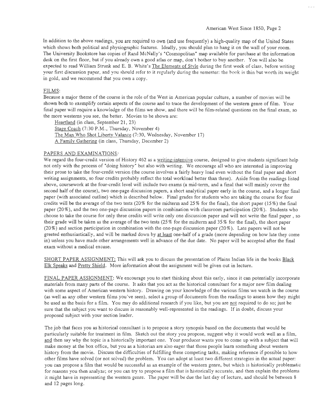In addition to the above readings, you are required to own (and use frequently) a high-quality map of the United States which shows both political and physiographic features. Ideally, you should plan to hang it on the wall of your room. The University Bookstore has copies of Rand McNally's "Cosmopolitan" map available for purchase at the information desk on the first floor, but if you already own a good atlas or map, don't bother to buy another. You will also be expected to read William Strunk and E. B. White's The Elements of Style during the first week of class, before writing your first discussion paper, and you should refer to it regularly during the semester: the book is thin but worth its weight in gold, and we recommend that you own a copy.

#### FILMS:

Because a major theme of the course is the role of the West in American popular culture, a number of movies will be shown both to exemplify certain aspects of the course and to trace the development of the western genre of film. Your final paper will require a knowledge of the films we show, and there will be film-related questions on the final exam, so the more westerns you see, the better. Movies to be shown are:

Heartland (in class, September 21, 23) Stage Coach (7:30 P.M., Thursday, November 4) The Man Who Shot Liberty Valance (7:30, Wednesday, November 17) A Family Gathering (in class, Thursday, December 2)

#### PAPERS AND EXAMINATIONS:

We regard the four-credit version of History 462 as a writing-intensive course, designed to give students significant help not only with the process of "doing history" but also with writing. We encourage all who are interested in improving their prose to take the four-credit version (the course involves a fairly heavy load even without the final paper and short writing assignments, so four credits probably reflect the total workload better than three). Aside from the readings listed above, coursework at the four-credit level will include two exams (a mid-term, and a final that will mainly cover the second half of the course), two one-page discussion papers, a short analytical paper early in the course, and a longer fmal paper (with associated outline) which is described below. Final grades for students who are taking the course for four credits will be the average of the two tests  $(20\%$  for the midterm and  $25\%$  for the final), the short paper  $(15\%)$  the final paper (20% ), and the two one-page discussion papers in combination with classroom participation (20% ). Students who choose to take the course for only three credits will write only one discussion paper and will not write the fmal paper , so their grade will be taken as the average of the two tests (25% for the midterm and 35% for the final), the short paper (20%) and section participation in combination with the one-page discussion paper (20% ). Late papers will not be greeted enthusiastically, and will be marked down by at least one-half of a grade (more depending on bow late they come in) unless you have made other arrangements well in advance of the due date. No paper will be accepted after the final exam without a medical excuse.

SHORT PAPER ASSIGNMENT: This will ask you to discuss the presentation of Plains Indian life in the books Black Elk Speaks and Pretty Shield. More information about the assignment will be given out in lecture.

FINAL PAPER ASSIGNMENT: We encourage you to start thinking about this early, since it can potentially incorporate materials from many parts of the course. It asks that you act as the historical consultant for a major new film dealing with some aspect of American western history. Drawing on your knowledge of the various films we watch in the course (as well as any other western films you've seen), select a group of documents from the readings to assess how they might be used as the basis for a film. You may do additional research if you like, but you are not required to do so; just be sure that the subject you want to discuss is reasonably well-represented in the readings. If in doubt, discuss your proposed subject with your section leader.

The job that faces you as historical consultant is to propose a story synopsis based on the documents that would be particularly suitable for treatment in film. Sketch out the story you propose, suggest why it would work well as a film, and then say why the topic is a historically important one. Your producer wants you to come up with a subject that will make money at the box office, but you as a historian are also eager that those people learn something about western history from the movie. Discuss the difficulties of fulfilling these competing tasks, making reference if possible to how other films have solved (or not solved) the problem. You can adopt at least two different strategies in the actual paper: you can propose a film that would be successful as an example of the western genre, but which is historically problematic for reasons you then analyze; or you can try to propose a film that is historically accurate, and then explain the problems it might have in representing the western genre. The paper will be due the last day of lecture, and should be between 8 and 12 pages long.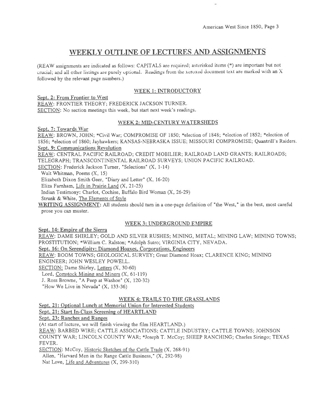$\bar{\nu}$ 

# **WEEKLY OUTLINE OF LECTURES AND ASSIGNMENTS**

(REA W assignments are indicated as follows: CAPITALS are required; asterisked items (\*) are important but not crucial; and all other listings are purely optional. Readings from the xeroxed document text are marked with an X followed by the relevant page numbers.)

# WEEK 1: INTRODUCTORY

Sept. 2: From Frontier to West

REAW: FRONTIER THEORY; FREDERICK JACKSON TURNER. SECTION: No section meetings this week, but start next week's readings.

# WEEK 2: MID-CENTURY WATERSHEDS

Sept. 7: Towards War

REAW: BROWN, JOHN; \*Civil War; COMPROMISE OF 1850; \*election of 1848; \*election of 1852; \*election of 1856; \*election of 1860; Jayhawkers; KANSAS-NEBRASKA ISSUE; MISSOURI COMPROMISE; Quantrill's Raiders. Sept. 9: Communications Revolution

REAW: CENTRAL PACIFIC RAILROAD; CREDIT MOBILIER; RAILROAD LAND GRANTS; RAILROADS; TELEGRAPH; TRANSCONTINENTAL RAILROAD SURVEYS; UNION PACIFIC RAILROAD.

SECTION: Frederick Jackson Turner, "Selections" (X, 1-14)

Walt Whitman, Poems (X, 15)

Elizabeth Dixon Smith Geer, "Diary and Letter" (X, 16-20)

Eliza Farnham, Life in Prairie Land (X, 21-25)

Indian Testimony: Charlot, Cochise, Buffalo Bird Woman (X, 26-29)

Strunk & White, The Elements of Style

WRITING ASSIGNMENT: All students should turn in a one-page definition of "the West," in the best, most careful prose you can muster.

# WEEK 3: UNDERGROUND EMPIRE

Sept. **14:** Empire of the Sierra

REAW: DAME SHIRLEY; GOLD AND SILVER RUSHES; MINING, METAL; MINING LAW; MINING TOWNS; PROSTITUTION; \*William C. Ralston; \*Adolph Sutro; VIRGINIA CITY, NEVADA.

# Sept. 16: On Serendipity: Diamond Hoaxes, Corporations, Engineers

REAW: BOOM TOWNS; GEOLOGICAL SURVEY; Great Diamond Hoax; CLARENCE KING; MINING

ENGINEER; JOHN WESLEY POWELL.

SECTION: Dame Shirley, Letters (X, 30-60)

Lord, Comstock Mining and Miners (X, 61-119)

J. Ross Browne, "A Peep at Washoe" (X, 120-32)

"How We Live in Nevada" (X, 133-36)

# WEEK 4: TRAILS TO THE GRASSLANDS

Sept. 21: Optional Lunch at Memorial Union for Interested Students

Sept. 21: Start In-Class Screening of HEARTLAND

Sept. 23: Ranches and Ranges

(At start of lecture, we will finish viewing the film HEARTLAND.)

REAW: BARBED WIRE; CATTLE ASSOCIATIONS; CATTLE INDUSTRY; CATTLE TOWNS; JOHNSON COUNTY WAR; LINCOLN COUNTY WAR; \*Joseph T. McCoy; SHEEP RANCHING; Charles Siringo; TEXAS FEVER.

SECTION: McCoy, Historic Sketches of the Cattle Trade (X, 268-91)

Allen, "Harvard Men in the Range Cattle Business," (X, 292-98)

Nat Love, Life and Adventures (X, 299-310)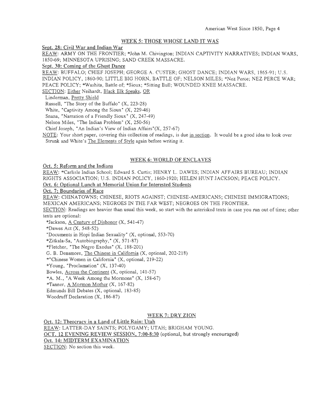#### WEEK 5: THOSE WHOSE LAND IT WAS

Sept. 28: Civil War and Indian War

REAW: ARMY ON THE FRONTIER; \*John M. Chivington; INDIAN CAPTIVITY NARRATIVES; INDIAN WARS, 1850-69; MINNESOTA UPRISING; SAND CREEK MASSACRE.

Sept. 30: Coming of the Ghost Dance

REAW: BUFFALO; CHIEF JOSEPH; GEORGE A. CUSTER; GHOST DANCE; INDIAN WARS, 1865-91; U.S.

INDIAN POLICY, 1860-90; LITTLE BIG HORN, BATTLE OF; NELSON MILES; \*Nez Perce; NEZ PERCE WAR;

PEACE POLICY; \*Washita, Battle of; \*Sioux; \*Sitting Bull; WOUNDED KNEE MASSACRE.

SECTION: Either Neihardt, Black Elk Speaks, OR

Linderman, Prettv Shield

Russell, "The Story of the Buffalo" (X, 223-28)

White, "Captivity Among the Sioux" (X, 229-46)

Snana, "Narration of a Friendly Sioux" (X, 247-49)

Nelson Miles, "The Indian Problem" {X, 250-56)

Chief Joseph, "An Indian's View of Indian Affairs"(X, 257-67)

NOTE: Your short paper, covering this collection of readings, is due in section. It would be a good idea to look over Strunk and White's The Elements of Stvle again before writing it.

#### WEEK 6: WORLD OF ENCLAVES

Oct. 5: Reform and the Indians

REAW: \*Carlisle Indian School; Edward S. Curtis; HENRY L. DAWES; INDIAN AFFAIRS BUREAU; INDIAN RIGHTS ASSOCIATION; U.S. INDIAN POLICY, 1860-1920; HELEN HUNT JACKSON; PEACE POLICY. Oct. 6: Optional Lunch at Memorial Union for Interested Students

Oct. 7: Boundaries of Race

REAW: CHINATOWNS; CHINESE, RIOTS AGAINST; CHINESE-AMERICANS; CHINESE IMMIGRATIONS; MEXICAN AMERICANS; NEGROES IN THE FAR WEST; NEGROES ON THE FRONTIER.

SECTION: Readings are heavier than usual this week, so start with the asterisked texts in case you run out of time; other texts are optional:

\*Jackson, A Century of Dishonor (X, 541-47)

\*Dawes Act (X, 548-52)

"Documents in Hopi Indian Sexuality" (X, optional, 553-70)

\*Zitkala-Sa, • Autobiography," (X, 571-87)

\*Fletcher, "The Negro Exodus" (X, 188-201)

G. B. Densmore, The Chinese in California (X, optional, 202-218)

\*"Chinese Women in California" (X, optional, 219-22)

\*Young, "Proclamation" (X, 137-40)

Bowles, Across the Continent (X, optional, 141-57)

 $*A. M., "A Week Among the Mormons" (X, 158-67)$ 

\*Tanner, A Mormon Mother (X, 167-82)

Edmunds Bill Debates {X, optional, 183-85)

Woodruff Declaration (X, 186-87)

#### WEEK 7: DRY ZION

Oct. 12: Theocracy in a Land of Little Rain: Utah REAW: LATTER-DAY SAINTS; POLYGAMY; UTAH; BRIGHAM YOUNG. OCT. 12 EVENING REVIEW SESSION, 7:00-8:30 (optional, but strongly encouraged) Oct. 14: MIDTERM EXAMINATION SECTION: No section this week.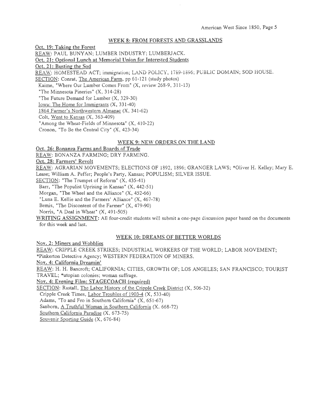#### WEEK 8: FROM FORESTS AND GRASSLANDS

Oct. 19: Taking the Forest REAW: PAUL BUNYAN; LUMBER INDUSTRY; LUMBERJACK. Oct. 21: Optional Lunch at Memorial Union for Interested Students Oct. 21: Busting the Sod REAW: HOMESTEAD ACT; immigration; LAND POLICY, 1789-1896; PUBLIC DOMAIN; SOD HOUSE. SECTION: Conrat, The American Farm, pp 61-121 (study photos) Kaime, "Where Our Lumber Comes From" (X, review 268-9, 311-13) "The Minnesota Pineries" (X, 314-28) "The Future Demand for Lumber (X, 329-30) Iowa: The Home for Immigrants  $(X, 331-40)$ 1864 Farmer's Northwestern Almanac (X, 341-62) Colt, Went to Kansas (X, 363-409) "Among the Wheat-Fields of Minnesota" (X, 410-22) Cronon, "To Be the Central City" (X, 423-34)

#### WEEK 9: NEW ORDERS ON THE LAND

Oct. 26: Bonanza Farms and Boards of Trade

REAW: BONANZA FARMING; DRY FARMING.

Oct. 28: Farmers' Revolt

REAW: AGRARIAN MOVEMENTS; ELECTIONS OF 1892, 1896; GRANGER LAWS; \*Oliver H. Kelley; Mary E. Lease; William A. Peffer; People's Party, Kansas; POPULISM; SILVER ISSUE.

SECTION: "The Trumpet of Reform" (X, 435-41)

Barr, "The Populist Uprising in Kansas" (X, 442-51)

Morgan, "The Wheel and the Alliance" (X, 452-66)

"Luna E. Kellie and the Farmers' Alliance" (X, 467-78)

Bemis, "The Discontent of the Farmer" (X, 479-90)

Norris, "A Deal in Wheat" (X, 491-505)

WRITING ASSIGNMENT: All four-credit students will submit a one-page discussion paper based on the documents for this week and last.

#### WEEK 10: DREAMS OF BETTER WORLDS

Nov. 2: Miners and Wobblies

REAW: CRIPPLE CREEK STRIKES; INDUSTRIAL WORKERS OF THE WORLD; LABOR MOVEMENT; \*Pinkerton Detective Agency; WESTERN FEDERATION OF MINERS.

Nov. 4: California Dreamin'

REAW: H. H. Bancroft; CALIFORNIA; CITIES, GROWTH OF; LOS ANGELES; SAN FRANCISCO; TOURIST

TRAVEL; \*utopian colonies; woman suffrage.

Nov. 4: Evening Film: STAGECOACH (required)

SECTION: Rastall, The Labor History of the Cripple Creek District (X, 506-32)

Cripple Creek Times, Labor Troubles of 1903-4 (X, 533-40)

Adams, "To and Fro in Southern California" (X, 651-67)

Sanborn, A Truthful Woman in Southern California (X. 668-72)

Southern California Paradise (X, 673-75)

Souvenir Sporting Guide (X, 676-84)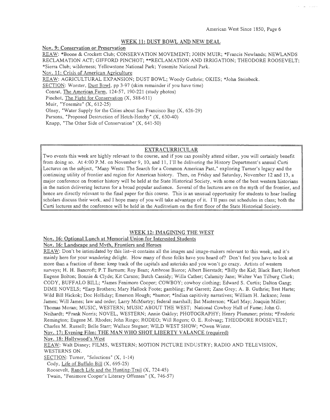#### WEEK 11: DUST BOWL AND NEW DEAL

Nov. 9: Conservation or Preservation

REAW: \*Boone & Crockett Club; CONSERVATION MOVEMENT; JOHN MUIR; \*Francis Newlands; NEWLANDS RECLAMATION ACT; GIFFORD PINCHOT; \*\*RECLAMATION AND IRRIGATION; THEODORE ROOSEVELT; \*Sierra Club; wilderness; Yellowstone National Park; Yosemite National Park.

Nov. 11: Crisis of American Agriculture

REAW: AGRICULTURAL EXPANSION; DUST BOWL; Woody Guthrie; OKIES; \*John Steinbeck.

SECTION: Worster, Dust Bowl, pp 3-97 (skim remainder if you have time)

Conrat, The American Farm, 124-57, 190-221 (study photos)

Pincbot, The Fight for Conservation (X, 588-611)

Muir, "Yosemite" (X, 612-25)

Olney, "Water Supply for the Cities about San Francisco Bay (X, 626-29)

Parsons, "Proposed Destruction of Hetch-Hetchy" (X, 630-40)

Knapp, "The Other Side of Conservation" (X, 641-50)

#### EXTRACURRICULAR

Two events this week are highly relevant to the course, and if you can possibly attend either, you will certainly benefit from doing so. At 4:00P.M. on November 9, 10, and 11, I'll be delivering the History Department's annual Curti Lectures on the subject, "Many Wests: The Search for a Common American Past," exploring Turner's legacy and the continuing utility of frontier and region for American history. Then, on Friday and Saturday, November 12 and 13, a major conference on frontier history will be held at the State Historical Society, with some of the best western historians in the nation delivering lectures for a broad popular audience. Several of the lectures are on the myth of the frontier, and hence are directly relevant to the final paper for this course. This is an unusual opportunity for students to bear leading scholars discuss their work, and I hope many of you will take advantage of it. I'll pass out schedules in class; both the Curti lectures and the conference will be held in the Auditorium on the first floor of the State Historical Society.

#### WEEK 12: IMAGINING THE WEST

#### Nov. 16: Optional Lunch at Memorial Union for Interested Students

#### Nov. 16: Landscape and Mvth, Frontiers and Heroes

REAW: Don't be intimidated by this list--it contains all the images and image-makers relevant to this week, and it's mainly here for your wandering delight. How many of these folks have you heard of? Don't feel you have to look at more than a fraction of these: keep track of the capitals and asterisks and you won't go crazy. Artists of western surveys; H. H. Bancroft; P.T Barnum; Roy Bean; Ambrose Bierce; Albert Bierstadt; \*Billy the Kid; Black Bart; Herbert Eugene Bolton; Bonnie & Clyde; Kit Carson; Butch Cassidy; Willa Cather; Calamity Jane; Walter Van Tilburg Clark; CODY, BUFFALO BILL; \*James Fenimore Cooper; COWBOY; cowboy clothing; Edward S. Curtis; Dalton Gang; DIME NOVELS; \*Earp Brothers; Mary Hallock Foote; gambling; Pat Garrett; Zane Grey; A. B. Guthrie; Bret Harte; Wild Bill Hickok; Doc Holliday; Emerson Hough; \*humor; \*Indian capitivity narratives; William H. Jackson; Jesse James; Will James; law and order; Larry McMurtry; federal marshall; Bat Masterson; \*Karl May; Joaquin Miller; Thomas Moran; MUSIC, WESTERN; MUSIC ABOUT THE WEST; National Cowboy Hall of Fame; John G. Neihardt; \*Frank Norris; NOVEL, WESTERN; Annie Oakley; PHOTOGRAPHY; Henry Plummer; prints; \*Frederic Remington; Eugene M. Rhodes; John Ringo; RODEO; Will Rogers; 0. E. Rolvaag; THEODORE ROOSEVELT; Charles M. Russell; Belle Starr; Wallace Stegner; WILD WEST SHOW; \*Owen Wister. Nov. 17: Evening Film: THE MAN WHO SHOT LIBERTY VALANCE (required)

Nov. 18: Hollywood's West

REAW: Walt Disney; FILMS, WESTERN; MOTION PICTURE INDUSTRY; RADIO AND TELEVISION, WESTERNS ON.

SECTION: Turner, "Selections" (X, 1-14)

Cody, Life of Buffalo Bill (X, 695-25)

Roosevelt, Ranch Life and the Hunting-Trail (X, 724-45)

Twain, "Fenimore Cooper's Literary Offenses" (X, 746-57)